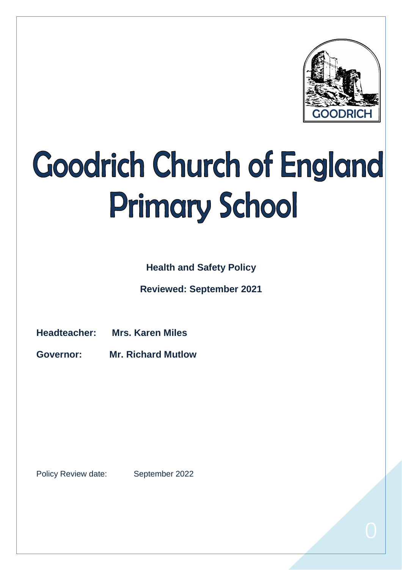

# Goodrich Church of England **Primary School**

**Health and Safety Policy** 

**Reviewed: September 2021**

**Headteacher: Mrs. Karen Miles**

**Governor: Mr. Richard Mutlow**

Policy Review date: September 2022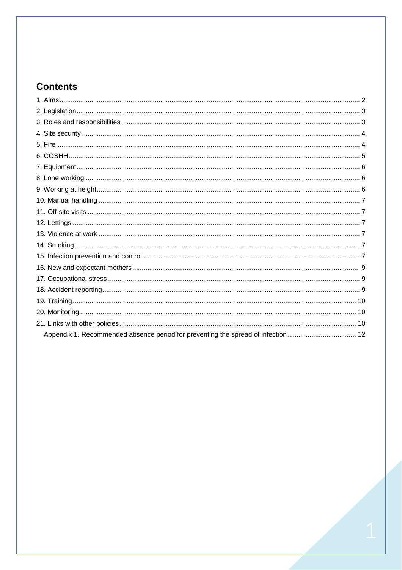# **Contents**

<span id="page-1-0"></span>

| Appendix 1. Recommended absence period for preventing the spread of infection 12 |  |
|----------------------------------------------------------------------------------|--|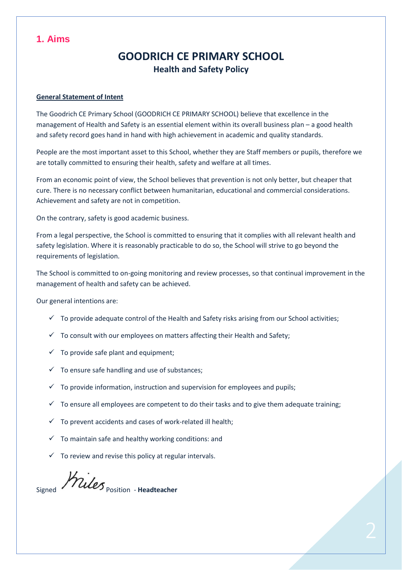# **1. Aims**

# **GOODRICH CE PRIMARY SCHOOL Health and Safety Policy**

#### **General Statement of Intent**

The Goodrich CE Primary School (GOODRICH CE PRIMARY SCHOOL) believe that excellence in the management of Health and Safety is an essential element within its overall business plan – a good health and safety record goes hand in hand with high achievement in academic and quality standards.

People are the most important asset to this School, whether they are Staff members or pupils, therefore we are totally committed to ensuring their health, safety and welfare at all times.

From an economic point of view, the School believes that prevention is not only better, but cheaper that cure. There is no necessary conflict between humanitarian, educational and commercial considerations. Achievement and safety are not in competition.

On the contrary, safety is good academic business.

From a legal perspective, the School is committed to ensuring that it complies with all relevant health and safety legislation. Where it is reasonably practicable to do so, the School will strive to go beyond the requirements of legislation.

The School is committed to on-going monitoring and review processes, so that continual improvement in the management of health and safety can be achieved.

Our general intentions are:

- $\checkmark$  To provide adequate control of the Health and Safety risks arising from our School activities;
- $\checkmark$  To consult with our employees on matters affecting their Health and Safety;
- $\checkmark$  To provide safe plant and equipment;
- $\checkmark$  To ensure safe handling and use of substances;
- $\checkmark$  To provide information, instruction and supervision for employees and pupils;
- $\checkmark$  To ensure all employees are competent to do their tasks and to give them adequate training;
- $\checkmark$  To prevent accidents and cases of work-related ill health;
- $\checkmark$  To maintain safe and healthy working conditions: and
- $\checkmark$  To review and revise this policy at regular intervals.

*Kiles* position - Headteacher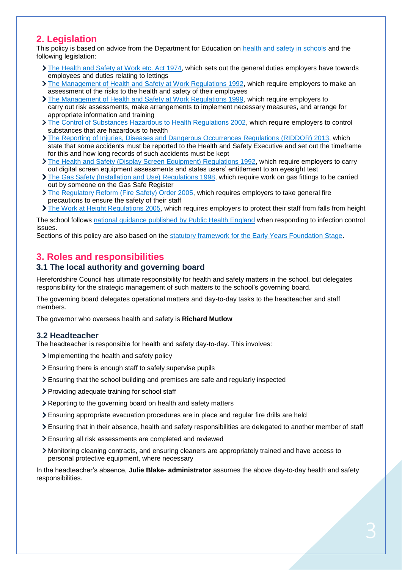# <span id="page-3-0"></span>**2. Legislation**

This policy is based on advice from the Department for Education on [health and safety in schools](https://www.gov.uk/government/publications/health-and-safety-advice-for-schools) and the following legislation:

- If [The Health and Safety at Work etc. Act 1974,](http://www.legislation.gov.uk/ukpga/1974/37) which sets out the general duties employers have towards employees and duties relating to lettings
- [The Management of Health and Safety at Work Regulations 1992,](http://www.legislation.gov.uk/uksi/1992/2051/regulation/3/made) which require employers to make an assessment of the risks to the health and safety of their employees
- [The Management of Health and Safety at Work Regulations 1999,](http://www.legislation.gov.uk/uksi/1999/3242/contents/made) which require employers to carry out risk assessments, make arrangements to implement necessary measures, and arrange for appropriate information and training
- > [The Control of Substances Hazardous to Health Regulations 2002,](http://www.legislation.gov.uk/uksi/2002/2677/contents/made) which require employers to control substances that are hazardous to health
- [The Reporting of Injuries, Diseases and Dangerous Occurrences Regulations](http://www.legislation.gov.uk/uksi/2013/1471/schedule/1/paragraph/1/made) (RIDDOR) 2013, which state that some accidents must be reported to the Health and Safety Executive and set out the timeframe for this and how long records of such accidents must be kept
- The Health and Safety [\(Display Screen Equipment\) Regulations 1992,](http://www.legislation.gov.uk/uksi/1992/2792/contents/made) which require employers to carry out digital screen equipment assessments and states users' entitlement to an eyesight test
- [The Gas Safety \(Installation and Use\) Regulations](http://www.legislation.gov.uk/uksi/1998/2451/regulation/4/made) 1998, which require work on gas fittings to be carried out by someone on the Gas Safe Register
- [The Regulatory Reform \(Fire Safety\) Order 2005,](http://www.legislation.gov.uk/uksi/2005/1541/part/2/made) which requires employers to take general fire precautions to ensure the safety of their staff
- [The Work at Height Regulations 2005,](http://www.legislation.gov.uk/uksi/2005/735/contents/made) which requires employers to protect their staff from falls from height

The school follows [national guidance published by Public Health England](https://www.gov.uk/government/publications/health-protection-in-schools-and-other-childcare-facilities/chapter-9-managing-specific-infectious-diseases) when responding to infection control issues.

Sections of this policy are also based on the statutory framework [for the Early Years Foundation Stage.](https://www.gov.uk/government/publications/early-years-foundation-stage-framework--2)

# <span id="page-3-1"></span>**3. Roles and responsibilities**

## **3.1 The local authority and governing board**

Herefordshire Council has ultimate responsibility for health and safety matters in the school, but delegates responsibility for the strategic management of such matters to the school's governing board.

The governing board delegates operational matters and day-to-day tasks to the headteacher and staff members.

The governor who oversees health and safety is **Richard Mutlow**

#### **3.2 Headteacher**

The headteacher is responsible for health and safety day-to-day. This involves:

- Implementing the health and safety policy
- Ensuring there is enough staff to safely supervise pupils
- Ensuring that the school building and premises are safe and regularly inspected
- > Providing adequate training for school staff
- Reporting to the governing board on health and safety matters
- Ensuring appropriate evacuation procedures are in place and regular fire drills are held
- Ensuring that in their absence, health and safety responsibilities are delegated to another member of staff
- Ensuring all risk assessments are completed and reviewed
- Monitoring cleaning contracts, and ensuring cleaners are appropriately trained and have access to personal protective equipment, where necessary

In the headteacher's absence, **Julie Blake- administrator** assumes the above day-to-day health and safety responsibilities.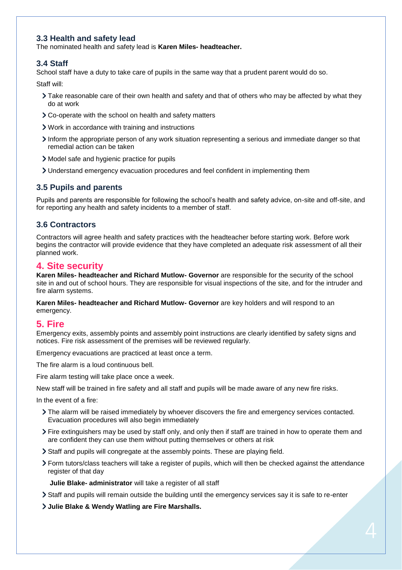## **3.3 Health and safety lead**

The nominated health and safety lead is **Karen Miles- headteacher.**

## **3.4 Staff**

School staff have a duty to take care of pupils in the same way that a prudent parent would do so.

Staff will:

- > Take reasonable care of their own health and safety and that of others who may be affected by what they do at work
- Co-operate with the school on health and safety matters
- Work in accordance with training and instructions
- Inform the appropriate person of any work situation representing a serious and immediate danger so that remedial action can be taken
- Model safe and hygienic practice for pupils
- Understand emergency evacuation procedures and feel confident in implementing them

## **3.5 Pupils and parents**

Pupils and parents are responsible for following the school's health and safety advice, on-site and off-site, and for reporting any health and safety incidents to a member of staff.

## **3.6 Contractors**

Contractors will agree health and safety practices with the headteacher before starting work. Before work begins the contractor will provide evidence that they have completed an adequate risk assessment of all their planned work.

## <span id="page-4-0"></span>**4. Site security**

**Karen Miles- headteacher and Richard Mutlow- Governor** are responsible for the security of the school site in and out of school hours. They are responsible for visual inspections of the site, and for the intruder and fire alarm systems.

**Karen Miles- headteacher and Richard Mutlow- Governor** are key holders and will respond to an emergency.

## <span id="page-4-1"></span>**5. Fire**

Emergency exits, assembly points and assembly point instructions are clearly identified by safety signs and notices. Fire risk assessment of the premises will be reviewed regularly.

Emergency evacuations are practiced at least once a term.

The fire alarm is a loud continuous bell.

Fire alarm testing will take place once a week.

New staff will be trained in fire safety and all staff and pupils will be made aware of any new fire risks.

In the event of a fire:

- The alarm will be raised immediately by whoever discovers the fire and emergency services contacted. Evacuation procedures will also begin immediately
- Fire extinguishers may be used by staff only, and only then if staff are trained in how to operate them and are confident they can use them without putting themselves or others at risk
- Staff and pupils will congregate at the assembly points. These are playing field.
- Form tutors/class teachers will take a register of pupils, which will then be checked against the attendance register of that day

**Julie Blake- administrator** will take a register of all staff

- Staff and pupils will remain outside the building until the emergency services say it is safe to re-enter
- **Julie Blake & Wendy Watling are Fire Marshalls.**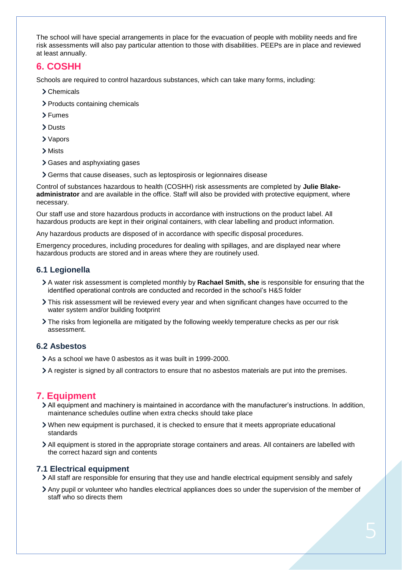The school will have special arrangements in place for the evacuation of people with mobility needs and fire risk assessments will also pay particular attention to those with disabilities. PEEPs are in place and reviewed at least annually.

## <span id="page-5-0"></span>**6. COSHH**

Schools are required to control hazardous substances, which can take many forms, including:

- Chemicals
- > Products containing chemicals
- > Fumes
- > Dusts
- Vapors
- > Mists
- > Gases and asphyxiating gases
- Germs that cause diseases, such as leptospirosis or legionnaires disease

Control of substances hazardous to health (COSHH) risk assessments are completed by **Julie Blakeadministrator** and are available in the office. Staff will also be provided with protective equipment, where necessary.

Our staff use and store hazardous products in accordance with instructions on the product label. All hazardous products are kept in their original containers, with clear labelling and product information.

Any hazardous products are disposed of in accordance with specific disposal procedures.

Emergency procedures, including procedures for dealing with spillages, and are displayed near where hazardous products are stored and in areas where they are routinely used.

## **6.1 Legionella**

- A water risk assessment is completed monthly by **Rachael Smith, she** is responsible for ensuring that the identified operational controls are conducted and recorded in the school's H&S folder
- This risk assessment will be reviewed every year and when significant changes have occurred to the water system and/or building footprint
- The risks from legionella are mitigated by the following weekly temperature checks as per our risk assessment.

## **6.2 Asbestos**

As a school we have 0 asbestos as it was built in 1999-2000.

A register is signed by all contractors to ensure that no asbestos materials are put into the premises.

## <span id="page-5-1"></span>**7. Equipment**

- All equipment and machinery is maintained in accordance with the manufacturer's instructions. In addition, maintenance schedules outline when extra checks should take place
- When new equipment is purchased, it is checked to ensure that it meets appropriate educational standards
- All equipment is stored in the appropriate storage containers and areas. All containers are labelled with the correct hazard sign and contents

## **7.1 Electrical equipment**

- All staff are responsible for ensuring that they use and handle electrical equipment sensibly and safely
- Any pupil or volunteer who handles electrical appliances does so under the supervision of the member of staff who so directs them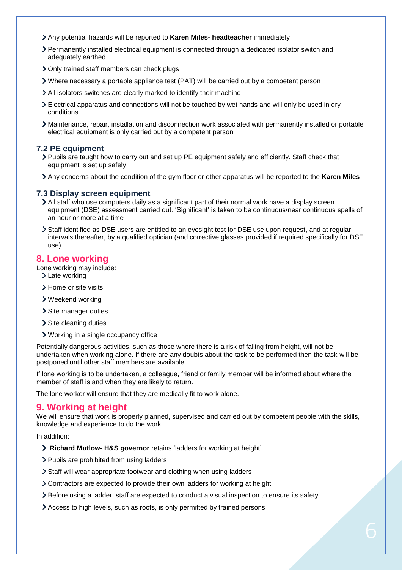- Any potential hazards will be reported to **Karen Miles- headteacher** immediately
- Permanently installed electrical equipment is connected through a dedicated isolator switch and adequately earthed
- > Only trained staff members can check plugs
- Where necessary a portable appliance test (PAT) will be carried out by a competent person
- All isolators switches are clearly marked to identify their machine
- Electrical apparatus and connections will not be touched by wet hands and will only be used in dry conditions
- Maintenance, repair, installation and disconnection work associated with permanently installed or portable electrical equipment is only carried out by a competent person

## **7.2 PE equipment**

- Pupils are taught how to carry out and set up PE equipment safely and efficiently. Staff check that equipment is set up safely
- Any concerns about the condition of the gym floor or other apparatus will be reported to the **Karen Miles**

#### **7.3 Display screen equipment**

- All staff who use computers daily as a significant part of their normal work have a display screen equipment (DSE) assessment carried out. 'Significant' is taken to be continuous/near continuous spells of an hour or more at a time
- Staff identified as DSE users are entitled to an eyesight test for DSE use upon request, and at regular intervals thereafter, by a qualified optician (and corrective glasses provided if required specifically for DSE use)

## <span id="page-6-0"></span>**8. Lone working**

Lone working may include:

- > Late working
- > Home or site visits
- Weekend working
- > Site manager duties
- > Site cleaning duties
- Working in a single occupancy office

Potentially dangerous activities, such as those where there is a risk of falling from height, will not be undertaken when working alone. If there are any doubts about the task to be performed then the task will be postponed until other staff members are available.

If lone working is to be undertaken, a colleague, friend or family member will be informed about where the member of staff is and when they are likely to return.

The lone worker will ensure that they are medically fit to work alone.

## <span id="page-6-1"></span>**9. Working at height**

We will ensure that work is properly planned, supervised and carried out by competent people with the skills, knowledge and experience to do the work.

In addition:

- **Richard Mutlow- H&S governor** retains 'ladders for working at height'
- > Pupils are prohibited from using ladders
- Staff will wear appropriate footwear and clothing when using ladders
- Contractors are expected to provide their own ladders for working at height
- Before using a ladder, staff are expected to conduct a visual inspection to ensure its safety
- Access to high levels, such as roofs, is only permitted by trained persons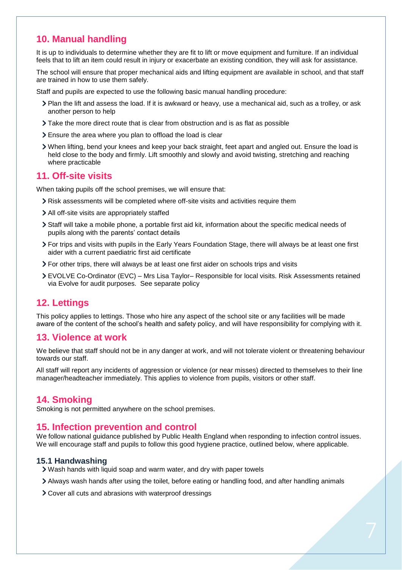# <span id="page-7-0"></span>**10. Manual handling**

It is up to individuals to determine whether they are fit to lift or move equipment and furniture. If an individual feels that to lift an item could result in injury or exacerbate an existing condition, they will ask for assistance.

The school will ensure that proper mechanical aids and lifting equipment are available in school, and that staff are trained in how to use them safely.

Staff and pupils are expected to use the following basic manual handling procedure:

- Plan the lift and assess the load. If it is awkward or heavy, use a mechanical aid, such as a trolley, or ask another person to help
- $\geq$  Take the more direct route that is clear from obstruction and is as flat as possible
- Ensure the area where you plan to offload the load is clear
- When lifting, bend your knees and keep your back straight, feet apart and angled out. Ensure the load is held close to the body and firmly. Lift smoothly and slowly and avoid twisting, stretching and reaching where practicable

## <span id="page-7-1"></span>**11. Off-site visits**

When taking pupils off the school premises, we will ensure that:

- Risk assessments will be completed where off-site visits and activities require them
- All off-site visits are appropriately staffed
- Staff will take a mobile phone, a portable first aid kit, information about the specific medical needs of pupils along with the parents' contact details
- For trips and visits with pupils in the Early Years Foundation Stage, there will always be at least one first aider with a current paediatric first aid certificate
- For other trips, there will always be at least one first aider on schools trips and visits
- EVOLVE Co-Ordinator (EVC) Mrs Lisa Taylor– Responsible for local visits. Risk Assessments retained via Evolve for audit purposes. See separate policy

## <span id="page-7-2"></span>**12. Lettings**

This policy applies to lettings. Those who hire any aspect of the school site or any facilities will be made aware of the content of the school's health and safety policy, and will have responsibility for complying with it.

## <span id="page-7-3"></span>**13. Violence at work**

We believe that staff should not be in any danger at work, and will not tolerate violent or threatening behaviour towards our staff.

All staff will report any incidents of aggression or violence (or near misses) directed to themselves to their line manager/headteacher immediately. This applies to violence from pupils, visitors or other staff.

## <span id="page-7-4"></span>**14. Smoking**

Smoking is not permitted anywhere on the school premises.

#### <span id="page-7-5"></span>**15. Infection prevention and control**

We follow national guidance published by Public Health England when responding to infection control issues. We will encourage staff and pupils to follow this good hygiene practice, outlined below, where applicable.

#### **15.1 Handwashing**

- Wash hands with liquid soap and warm water, and dry with paper towels
- Always wash hands after using the toilet, before eating or handling food, and after handling animals
- Cover all cuts and abrasions with waterproof dressings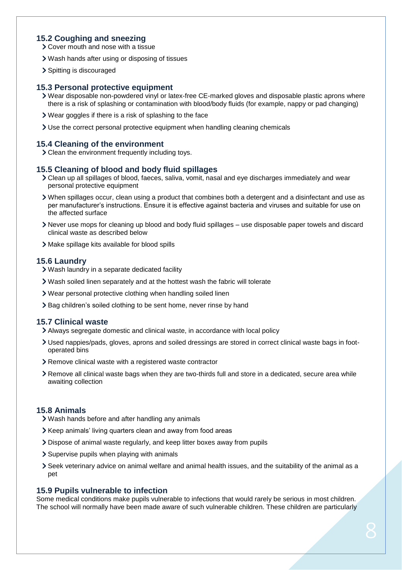#### **15.2 Coughing and sneezing**

Cover mouth and nose with a tissue

- Wash hands after using or disposing of tissues
- > Spitting is discouraged

#### **15.3 Personal protective equipment**

- Wear disposable non-powdered vinyl or latex-free CE-marked gloves and disposable plastic aprons where there is a risk of splashing or contamination with blood/body fluids (for example, nappy or pad changing)
- Wear goggles if there is a risk of splashing to the face
- Use the correct personal protective equipment when handling cleaning chemicals

#### **15.4 Cleaning of the environment**

Clean the environment frequently including toys.

## **15.5 Cleaning of blood and body fluid spillages**

- Clean up all spillages of blood, faeces, saliva, vomit, nasal and eye discharges immediately and wear personal protective equipment
- When spillages occur, clean using a product that combines both a detergent and a disinfectant and use as per manufacturer's instructions. Ensure it is effective against bacteria and viruses and suitable for use on the affected surface
- Never use mops for cleaning up blood and body fluid spillages use disposable paper towels and discard clinical waste as described below
- Make spillage kits available for blood spills

## **15.6 Laundry**

- Wash laundry in a separate dedicated facility
- Wash soiled linen separately and at the hottest wash the fabric will tolerate
- Wear personal protective clothing when handling soiled linen
- > Bag children's soiled clothing to be sent home, never rinse by hand

#### **15.7 Clinical waste**

- Always segregate domestic and clinical waste, in accordance with local policy
- Used nappies/pads, gloves, aprons and soiled dressings are stored in correct clinical waste bags in footoperated bins
- Remove clinical waste with a registered waste contractor
- Remove all clinical waste bags when they are two-thirds full and store in a dedicated, secure area while awaiting collection

## **15.8 Animals**

- Wash hands before and after handling any animals
- Keep animals' living quarters clean and away from food areas
- Dispose of animal waste regularly, and keep litter boxes away from pupils
- Supervise pupils when playing with animals
- Seek veterinary advice on animal welfare and animal health issues, and the suitability of the animal as a pet

#### **15.9 Pupils vulnerable to infection**

Some medical conditions make pupils vulnerable to infections that would rarely be serious in most children. The school will normally have been made aware of such vulnerable children. These children are particularly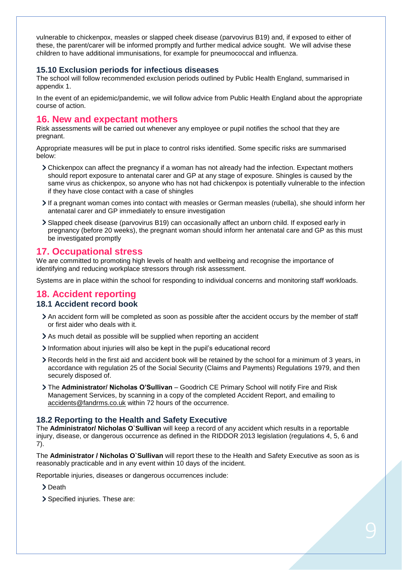vulnerable to chickenpox, measles or slapped cheek disease (parvovirus B19) and, if exposed to either of these, the parent/carer will be informed promptly and further medical advice sought. We will advise these children to have additional immunisations, for example for pneumococcal and influenza.

#### **15.10 Exclusion periods for infectious diseases**

The school will follow recommended exclusion periods outlined by Public Health England, summarised in appendix 1.

In the event of an epidemic/pandemic, we will follow advice from Public Health England about the appropriate course of action.

## <span id="page-9-0"></span>**16. New and expectant mothers**

Risk assessments will be carried out whenever any employee or pupil notifies the school that they are pregnant.

Appropriate measures will be put in place to control risks identified. Some specific risks are summarised below:

- Chickenpox can affect the pregnancy if a woman has not already had the infection. Expectant mothers should report exposure to antenatal carer and GP at any stage of exposure. Shingles is caused by the same virus as chickenpox, so anyone who has not had chickenpox is potentially vulnerable to the infection if they have close contact with a case of shingles
- If a pregnant woman comes into contact with measles or German measles (rubella), she should inform her antenatal carer and GP immediately to ensure investigation
- Slapped cheek disease (parvovirus B19) can occasionally affect an unborn child. If exposed early in pregnancy (before 20 weeks), the pregnant woman should inform her antenatal care and GP as this must be investigated promptly

## <span id="page-9-1"></span>**17. Occupational stress**

We are committed to promoting high levels of health and wellbeing and recognise the importance of identifying and reducing workplace stressors through risk assessment.

Systems are in place within the school for responding to individual concerns and monitoring staff workloads.

# <span id="page-9-2"></span>**18. Accident reporting**

## **18.1 Accident record book**

- An accident form will be completed as soon as possible after the accident occurs by the member of staff or first aider who deals with it.
- As much detail as possible will be supplied when reporting an accident
- Information about injuries will also be kept in the pupil's educational record
- Records held in the first aid and accident book will be retained by the school for a minimum of 3 years, in accordance with regulation 25 of the Social Security (Claims and Payments) Regulations 1979, and then securely disposed of.
- The **Administrator/ Nicholas O'Sullivan** Goodrich CE Primary School will notify Fire and Risk Management Services, by scanning in a copy of the completed Accident Report, and emailing to [accidents@fandrms.co.uk](mailto:accidents@fandrms.co.uk) within 72 hours of the occurrence.

## **18.2 Reporting to the Health and Safety Executive**

The **Administrator/ Nicholas O`Sullivan** will keep a record of any accident which results in a reportable injury, disease, or dangerous occurrence as defined in the RIDDOR 2013 legislation (regulations 4, 5, 6 and 7).

The **Administrator / Nicholas O`Sullivan** will report these to the Health and Safety Executive as soon as is reasonably practicable and in any event within 10 days of the incident.

Reportable injuries, diseases or dangerous occurrences include:

> Death

> Specified injuries. These are: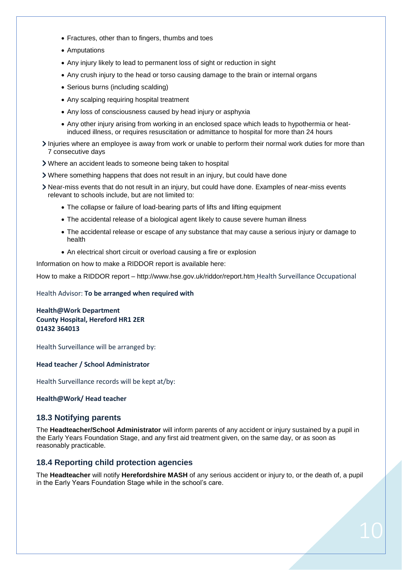- Fractures, other than to fingers, thumbs and toes
- Amputations
- Any injury likely to lead to permanent loss of sight or reduction in sight
- Any crush injury to the head or torso causing damage to the brain or internal organs
- Serious burns (including scalding)
- Any scalping requiring hospital treatment
- Any loss of consciousness caused by head injury or asphyxia
- Any other injury arising from working in an enclosed space which leads to hypothermia or heatinduced illness, or requires resuscitation or admittance to hospital for more than 24 hours
- Injuries where an employee is away from work or unable to perform their normal work duties for more than 7 consecutive days
- Where an accident leads to someone being taken to hospital
- Where something happens that does not result in an injury, but could have done
- Near-miss events that do not result in an injury, but could have done. Examples of near-miss events relevant to schools include, but are not limited to:
	- The collapse or failure of load-bearing parts of lifts and lifting equipment
	- The accidental release of a biological agent likely to cause severe human illness
	- The accidental release or escape of any substance that may cause a serious injury or damage to health
	- An electrical short circuit or overload causing a fire or explosion

Information on how to make a RIDDOR report is available here:

How to make a RIDDOR report – http://www.hse.gov.uk/riddor/report.htm Health Surveillance Occupational

#### Health Advisor: **To be arranged when required with**

#### **Health@Work Department County Hospital, Hereford HR1 2ER 01432 364013**

Health Surveillance will be arranged by:

#### **Head teacher / School Administrator**

Health Surveillance records will be kept at/by:

#### **Health@Work/ Head teacher**

#### **18.3 Notifying parents**

The **Headteacher/School Administrator** will inform parents of any accident or injury sustained by a pupil in the Early Years Foundation Stage, and any first aid treatment given, on the same day, or as soon as reasonably practicable.

#### **18.4 Reporting child protection agencies**

The **Headteacher** will notify **Herefordshire MASH** of any serious accident or injury to, or the death of, a pupil in the Early Years Foundation Stage while in the school's care.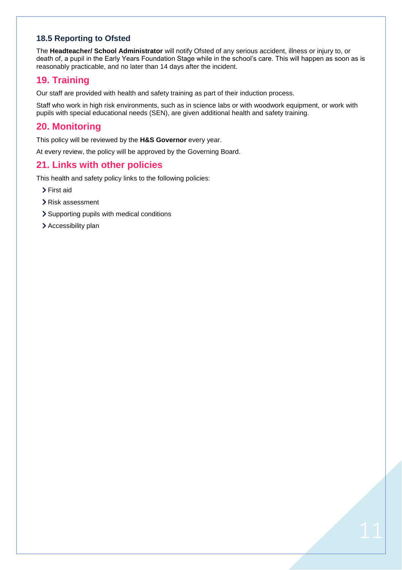## **18.5 Reporting to Ofsted**

The **Headteacher/ School Administrator** will notify Ofsted of any serious accident, illness or injury to, or death of, a pupil in the Early Years Foundation Stage while in the school's care. This will happen as soon as is reasonably practicable, and no later than 14 days after the incident.

# <span id="page-11-0"></span>**19. Training**

Our staff are provided with health and safety training as part of their induction process.

Staff who work in high risk environments, such as in science labs or with woodwork equipment, or work with pupils with special educational needs (SEN), are given additional health and safety training.

## <span id="page-11-1"></span>**20. Monitoring**

This policy will be reviewed by the **H&S Governor** every year.

At every review, the policy will be approved by the Governing Board.

# <span id="page-11-2"></span>**21. Links with other policies**

This health and safety policy links to the following policies:

- > First aid
- Risk assessment
- > Supporting pupils with medical conditions
- <span id="page-11-3"></span>> Accessibility plan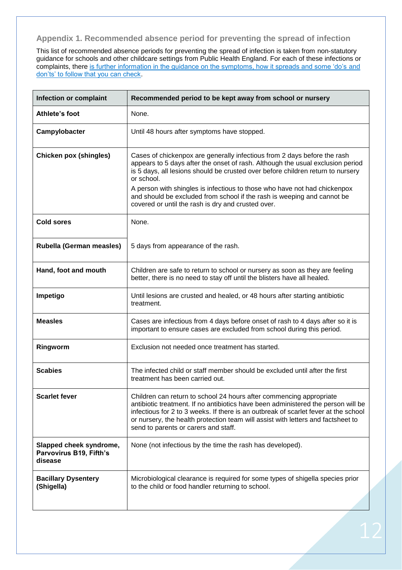## **Appendix 1. Recommended absence period for preventing the spread of infection**

This list of recommended absence periods for preventing the spread of infection is taken from non-statutory guidance for schools and other childcare settings from Public Health England. For each of these infections or complaints, there [is further information in the guidance on the symptoms, how it spreads and some 'do's](https://www.gov.uk/government/publications/health-protection-in-schools-and-other-childcare-facilities/chapter-9-managing-specific-infectious-diseases) and [don'ts' to follow that you can check.](https://www.gov.uk/government/publications/health-protection-in-schools-and-other-childcare-facilities/chapter-9-managing-specific-infectious-diseases)

| Infection or complaint                                        | Recommended period to be kept away from school or nursery                                                                                                                                                                                                                                                                                                                                                                                                                 |
|---------------------------------------------------------------|---------------------------------------------------------------------------------------------------------------------------------------------------------------------------------------------------------------------------------------------------------------------------------------------------------------------------------------------------------------------------------------------------------------------------------------------------------------------------|
| Athlete's foot                                                | None.                                                                                                                                                                                                                                                                                                                                                                                                                                                                     |
| Campylobacter                                                 | Until 48 hours after symptoms have stopped.                                                                                                                                                                                                                                                                                                                                                                                                                               |
| <b>Chicken pox (shingles)</b>                                 | Cases of chickenpox are generally infectious from 2 days before the rash<br>appears to 5 days after the onset of rash. Although the usual exclusion period<br>is 5 days, all lesions should be crusted over before children return to nursery<br>or school.<br>A person with shingles is infectious to those who have not had chickenpox<br>and should be excluded from school if the rash is weeping and cannot be<br>covered or until the rash is dry and crusted over. |
| <b>Cold sores</b>                                             | None.                                                                                                                                                                                                                                                                                                                                                                                                                                                                     |
| Rubella (German measles)                                      | 5 days from appearance of the rash.                                                                                                                                                                                                                                                                                                                                                                                                                                       |
| Hand, foot and mouth                                          | Children are safe to return to school or nursery as soon as they are feeling<br>better, there is no need to stay off until the blisters have all healed.                                                                                                                                                                                                                                                                                                                  |
| Impetigo                                                      | Until lesions are crusted and healed, or 48 hours after starting antibiotic<br>treatment.                                                                                                                                                                                                                                                                                                                                                                                 |
| <b>Measles</b>                                                | Cases are infectious from 4 days before onset of rash to 4 days after so it is<br>important to ensure cases are excluded from school during this period.                                                                                                                                                                                                                                                                                                                  |
| Ringworm                                                      | Exclusion not needed once treatment has started.                                                                                                                                                                                                                                                                                                                                                                                                                          |
| <b>Scabies</b>                                                | The infected child or staff member should be excluded until after the first<br>treatment has been carried out.                                                                                                                                                                                                                                                                                                                                                            |
| <b>Scarlet fever</b>                                          | Children can return to school 24 hours after commencing appropriate<br>antibiotic treatment. If no antibiotics have been administered the person will be<br>infectious for 2 to 3 weeks. If there is an outbreak of scarlet fever at the school<br>or nursery, the health protection team will assist with letters and factsheet to<br>send to parents or carers and staff.                                                                                               |
| Slapped cheek syndrome,<br>Parvovirus B19, Fifth's<br>disease | None (not infectious by the time the rash has developed).                                                                                                                                                                                                                                                                                                                                                                                                                 |
| <b>Bacillary Dysentery</b><br>(Shigella)                      | Microbiological clearance is required for some types of shigella species prior<br>to the child or food handler returning to school.                                                                                                                                                                                                                                                                                                                                       |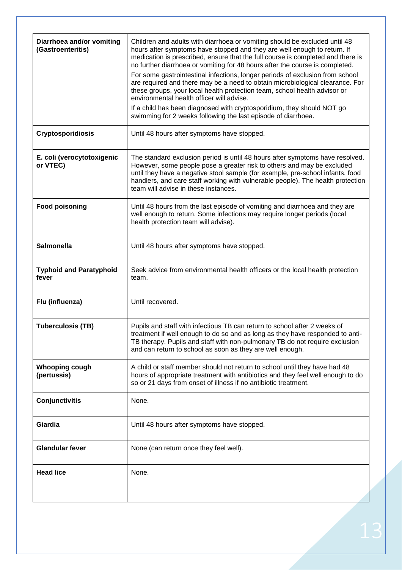| Children and adults with diarrhoea or vomiting should be excluded until 48<br>hours after symptoms have stopped and they are well enough to return. If<br>medication is prescribed, ensure that the full course is completed and there is<br>no further diarrhoea or vomiting for 48 hours after the course is completed.<br>For some gastrointestinal infections, longer periods of exclusion from school<br>are required and there may be a need to obtain microbiological clearance. For<br>these groups, your local health protection team, school health advisor or<br>environmental health officer will advise.<br>If a child has been diagnosed with cryptosporidium, they should NOT go<br>swimming for 2 weeks following the last episode of diarrhoea. |
|------------------------------------------------------------------------------------------------------------------------------------------------------------------------------------------------------------------------------------------------------------------------------------------------------------------------------------------------------------------------------------------------------------------------------------------------------------------------------------------------------------------------------------------------------------------------------------------------------------------------------------------------------------------------------------------------------------------------------------------------------------------|
| Until 48 hours after symptoms have stopped.                                                                                                                                                                                                                                                                                                                                                                                                                                                                                                                                                                                                                                                                                                                      |
| The standard exclusion period is until 48 hours after symptoms have resolved.<br>However, some people pose a greater risk to others and may be excluded<br>until they have a negative stool sample (for example, pre-school infants, food<br>handlers, and care staff working with vulnerable people). The health protection<br>team will advise in these instances.                                                                                                                                                                                                                                                                                                                                                                                             |
| Until 48 hours from the last episode of vomiting and diarrhoea and they are<br>well enough to return. Some infections may require longer periods (local<br>health protection team will advise).                                                                                                                                                                                                                                                                                                                                                                                                                                                                                                                                                                  |
| Until 48 hours after symptoms have stopped.                                                                                                                                                                                                                                                                                                                                                                                                                                                                                                                                                                                                                                                                                                                      |
| Seek advice from environmental health officers or the local health protection<br>team.                                                                                                                                                                                                                                                                                                                                                                                                                                                                                                                                                                                                                                                                           |
| Until recovered.                                                                                                                                                                                                                                                                                                                                                                                                                                                                                                                                                                                                                                                                                                                                                 |
| Pupils and staff with infectious TB can return to school after 2 weeks of<br>treatment if well enough to do so and as long as they have responded to anti-<br>TB therapy. Pupils and staff with non-pulmonary TB do not require exclusion<br>and can return to school as soon as they are well enough.                                                                                                                                                                                                                                                                                                                                                                                                                                                           |
| A child or staff member should not return to school until they have had 48<br>hours of appropriate treatment with antibiotics and they feel well enough to do<br>so or 21 days from onset of illness if no antibiotic treatment.                                                                                                                                                                                                                                                                                                                                                                                                                                                                                                                                 |
| None.                                                                                                                                                                                                                                                                                                                                                                                                                                                                                                                                                                                                                                                                                                                                                            |
| Until 48 hours after symptoms have stopped.                                                                                                                                                                                                                                                                                                                                                                                                                                                                                                                                                                                                                                                                                                                      |
| None (can return once they feel well).                                                                                                                                                                                                                                                                                                                                                                                                                                                                                                                                                                                                                                                                                                                           |
| None.                                                                                                                                                                                                                                                                                                                                                                                                                                                                                                                                                                                                                                                                                                                                                            |
|                                                                                                                                                                                                                                                                                                                                                                                                                                                                                                                                                                                                                                                                                                                                                                  |